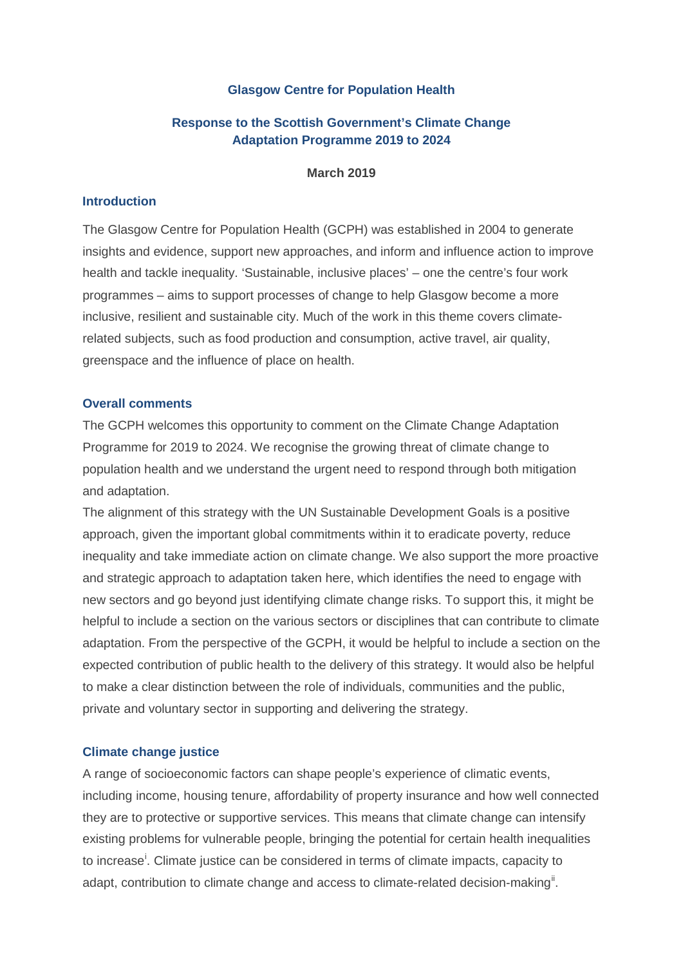#### **Glasgow Centre for Population Health**

#### **Response to the Scottish Government's Climate Change Adaptation Programme 2019 to 2024**

**March 2019**

#### **Introduction**

The Glasgow Centre for Population Health (GCPH) was established in 2004 to generate insights and evidence, support new approaches, and inform and influence action to improve health and tackle inequality. 'Sustainable, inclusive places' – one the centre's four work programmes – aims to support processes of change to help Glasgow become a more inclusive, resilient and sustainable city. Much of the work in this theme covers climaterelated subjects, such as food production and consumption, active travel, air quality, greenspace and the influence of place on health.

#### **Overall comments**

The GCPH welcomes this opportunity to comment on the Climate Change Adaptation Programme for 2019 to 2024. We recognise the growing threat of climate change to population health and we understand the urgent need to respond through both mitigation and adaptation.

The alignment of this strategy with the UN Sustainable Development Goals is a positive approach, given the important global commitments within it to eradicate poverty, reduce inequality and take immediate action on climate change. We also support the more proactive and strategic approach to adaptation taken here, which identifies the need to engage with new sectors and go beyond just identifying climate change risks. To support this, it might be helpful to include a section on the various sectors or disciplines that can contribute to climate adaptation. From the perspective of the GCPH, it would be helpful to include a section on the expected contribution of public health to the delivery of this strategy. It would also be helpful to make a clear distinction between the role of individuals, communities and the public, private and voluntary sector in supporting and delivering the strategy.

#### **Climate change justice**

A range of socioeconomic factors can shape people's experience of climatic events, including income, housing tenure, affordability of property insurance and how well connected they are to protective or supportive services. This means that climate change can intensify existing problems for vulnerable people, bringing the potential for certain health inequalities to [i](#page-7-0)ncrease<sup>i</sup>. Climate justice can be considered in terms of climate impacts, capacity to adapt, contribution to climate change and access to climate-related decision-making<sup>"</sup>.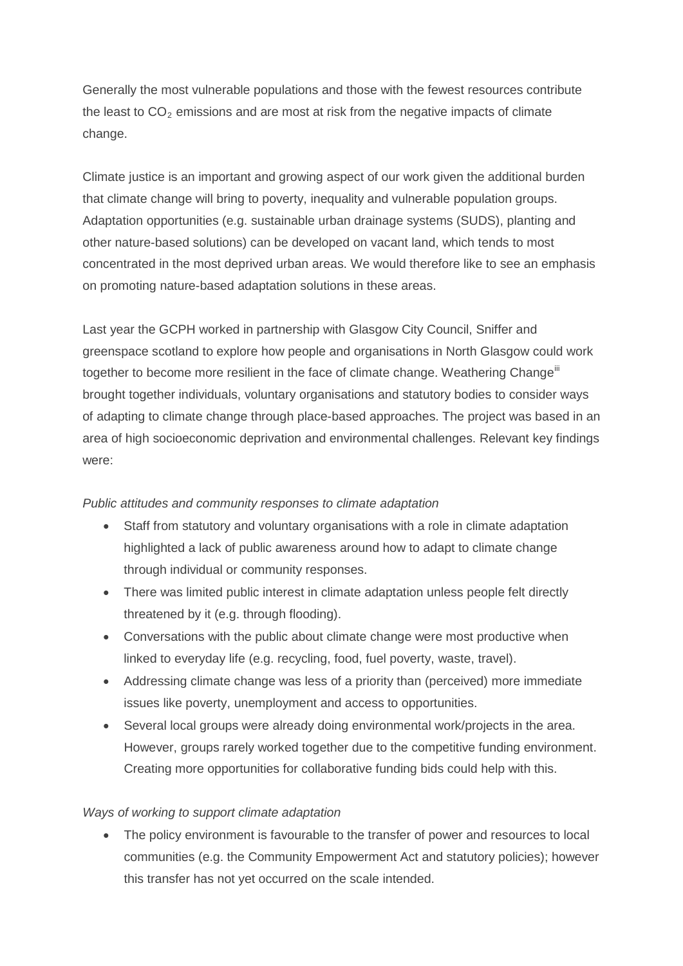Generally the most vulnerable populations and those with the fewest resources contribute the least to  $CO<sub>2</sub>$  emissions and are most at risk from the negative impacts of climate change.

Climate justice is an important and growing aspect of our work given the additional burden that climate change will bring to poverty, inequality and vulnerable population groups. Adaptation opportunities (e.g. sustainable urban drainage systems (SUDS), planting and other nature-based solutions) can be developed on vacant land, which tends to most concentrated in the most deprived urban areas. We would therefore like to see an emphasis on promoting nature-based adaptation solutions in these areas.

Last year the GCPH worked in partnership with Glasgow City Council, Sniffer and greenspace scotland to explore how people and organisations in North Glasgow could work together to become more resilient in the face of climate change. Weathering Change<sup>[iii](#page-7-2)</sup> brought together individuals, voluntary organisations and statutory bodies to consider ways of adapting to climate change through place-based approaches. The project was based in an area of high socioeconomic deprivation and environmental challenges. Relevant key findings were:

#### *Public attitudes and community responses to climate adaptation*

- Staff from statutory and voluntary organisations with a role in climate adaptation highlighted a lack of public awareness around how to adapt to climate change through individual or community responses.
- There was limited public interest in climate adaptation unless people felt directly threatened by it (e.g. through flooding).
- Conversations with the public about climate change were most productive when linked to everyday life (e.g. recycling, food, fuel poverty, waste, travel).
- Addressing climate change was less of a priority than (perceived) more immediate issues like poverty, unemployment and access to opportunities.
- Several local groups were already doing environmental work/projects in the area. However, groups rarely worked together due to the competitive funding environment. Creating more opportunities for collaborative funding bids could help with this.

#### *Ways of working to support climate adaptation*

• The policy environment is favourable to the transfer of power and resources to local communities (e.g. the Community Empowerment Act and statutory policies); however this transfer has not yet occurred on the scale intended.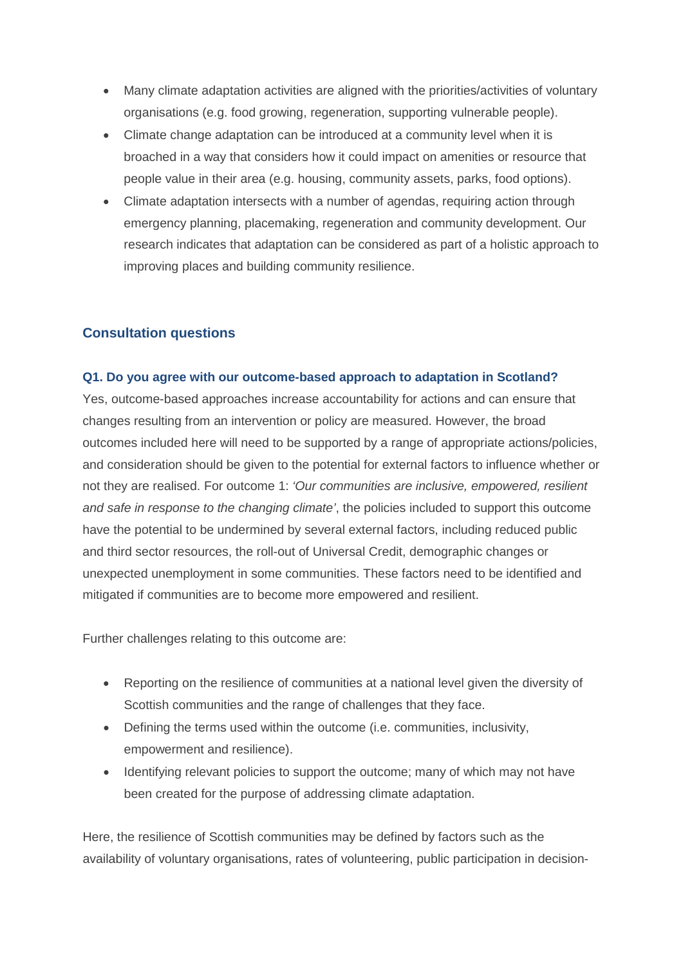- Many climate adaptation activities are aligned with the priorities/activities of voluntary organisations (e.g. food growing, regeneration, supporting vulnerable people).
- Climate change adaptation can be introduced at a community level when it is broached in a way that considers how it could impact on amenities or resource that people value in their area (e.g. housing, community assets, parks, food options).
- Climate adaptation intersects with a number of agendas, requiring action through emergency planning, placemaking, regeneration and community development. Our research indicates that adaptation can be considered as part of a holistic approach to improving places and building community resilience.

#### **Consultation questions**

#### **Q1. Do you agree with our outcome-based approach to adaptation in Scotland?**

Yes, outcome-based approaches increase accountability for actions and can ensure that changes resulting from an intervention or policy are measured. However, the broad outcomes included here will need to be supported by a range of appropriate actions/policies, and consideration should be given to the potential for external factors to influence whether or not they are realised. For outcome 1: *'Our communities are inclusive, empowered, resilient and safe in response to the changing climate'*, the policies included to support this outcome have the potential to be undermined by several external factors, including reduced public and third sector resources, the roll-out of Universal Credit, demographic changes or unexpected unemployment in some communities. These factors need to be identified and mitigated if communities are to become more empowered and resilient.

Further challenges relating to this outcome are:

- Reporting on the resilience of communities at a national level given the diversity of Scottish communities and the range of challenges that they face.
- Defining the terms used within the outcome (i.e. communities, inclusivity, empowerment and resilience).
- Identifying relevant policies to support the outcome; many of which may not have been created for the purpose of addressing climate adaptation.

Here, the resilience of Scottish communities may be defined by factors such as the availability of voluntary organisations, rates of volunteering, public participation in decision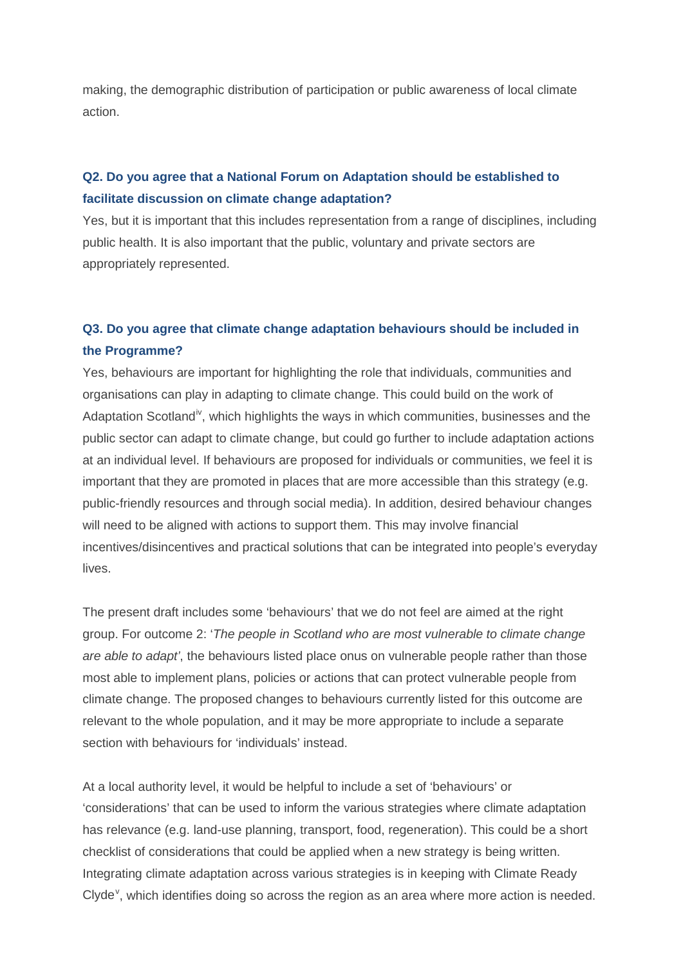making, the demographic distribution of participation or public awareness of local climate action.

### **Q2. Do you agree that a National Forum on Adaptation should be established to facilitate discussion on climate change adaptation?**

Yes, but it is important that this includes representation from a range of disciplines, including public health. It is also important that the public, voluntary and private sectors are appropriately represented.

### **Q3. Do you agree that climate change adaptation behaviours should be included in the Programme?**

Yes, behaviours are important for highlighting the role that individuals, communities and organisations can play in adapting to climate change. This could build on the work of Adaptation Scotland<sup>[iv](#page-7-3)</sup>, which highlights the ways in which communities, businesses and the public sector can adapt to climate change, but could go further to include adaptation actions at an individual level. If behaviours are proposed for individuals or communities, we feel it is important that they are promoted in places that are more accessible than this strategy (e.g. public-friendly resources and through social media). In addition, desired behaviour changes will need to be aligned with actions to support them. This may involve financial incentives/disincentives and practical solutions that can be integrated into people's everyday lives.

The present draft includes some 'behaviours' that we do not feel are aimed at the right group. For outcome 2: '*The people in Scotland who are most vulnerable to climate change are able to adapt'*, the behaviours listed place onus on vulnerable people rather than those most able to implement plans, policies or actions that can protect vulnerable people from climate change. The proposed changes to behaviours currently listed for this outcome are relevant to the whole population, and it may be more appropriate to include a separate section with behaviours for 'individuals' instead.

At a local authority level, it would be helpful to include a set of 'behaviours' or 'considerations' that can be used to inform the various strategies where climate adaptation has relevance (e.g. land-use planning, transport, food, regeneration). This could be a short checklist of considerations that could be applied when a new strategy is being written. Integrating climate adaptation across various strategies is in keeping with Climate Ready Clyde<sup>[v](#page-7-4)</sup>, which identifies doing so across the region as an area where more action is needed.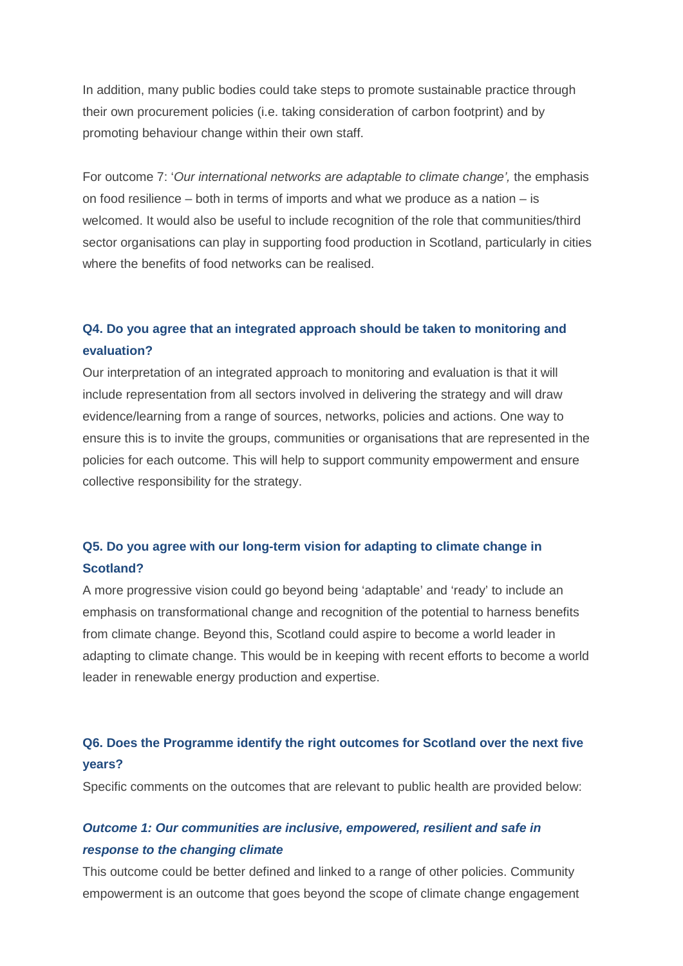In addition, many public bodies could take steps to promote sustainable practice through their own procurement policies (i.e. taking consideration of carbon footprint) and by promoting behaviour change within their own staff.

For outcome 7: '*Our international networks are adaptable to climate change',* the emphasis on food resilience – both in terms of imports and what we produce as a nation – is welcomed. It would also be useful to include recognition of the role that communities/third sector organisations can play in supporting food production in Scotland, particularly in cities where the benefits of food networks can be realised.

### **Q4. Do you agree that an integrated approach should be taken to monitoring and evaluation?**

Our interpretation of an integrated approach to monitoring and evaluation is that it will include representation from all sectors involved in delivering the strategy and will draw evidence/learning from a range of sources, networks, policies and actions. One way to ensure this is to invite the groups, communities or organisations that are represented in the policies for each outcome. This will help to support community empowerment and ensure collective responsibility for the strategy.

## **Q5. Do you agree with our long-term vision for adapting to climate change in Scotland?**

A more progressive vision could go beyond being 'adaptable' and 'ready' to include an emphasis on transformational change and recognition of the potential to harness benefits from climate change. Beyond this, Scotland could aspire to become a world leader in adapting to climate change. This would be in keeping with recent efforts to become a world leader in renewable energy production and expertise.

## **Q6. Does the Programme identify the right outcomes for Scotland over the next five years?**

Specific comments on the outcomes that are relevant to public health are provided below:

## *Outcome 1: Our communities are inclusive, empowered, resilient and safe in response to the changing climate*

This outcome could be better defined and linked to a range of other policies. Community empowerment is an outcome that goes beyond the scope of climate change engagement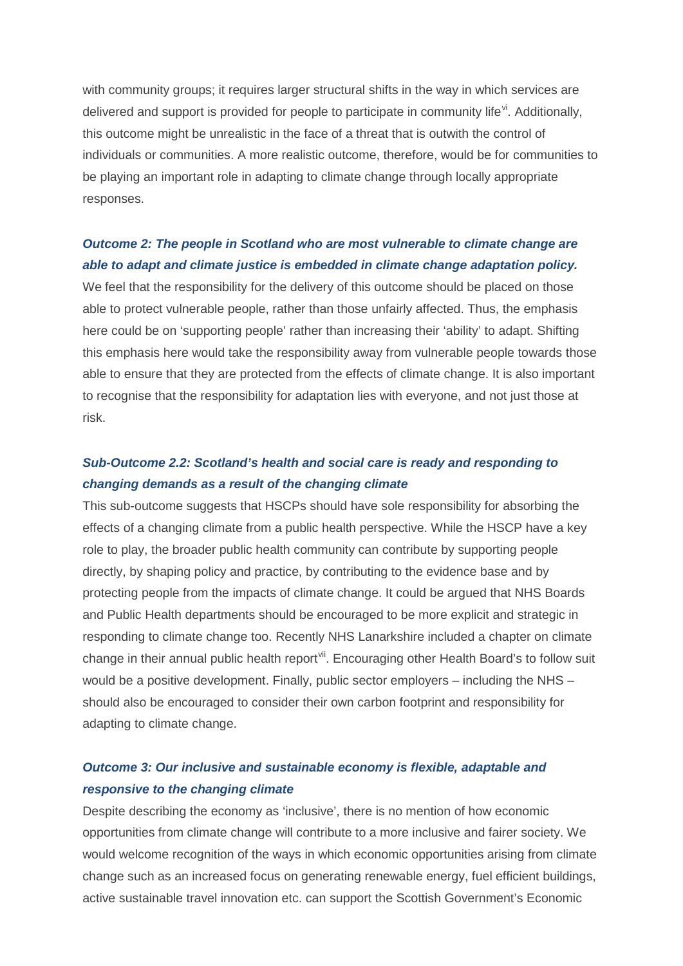with community groups; it requires larger structural shifts in the way in which services are delivered and support is provided for people to participate in community life $\mathbf{v}^i$ . Additionally, this outcome might be unrealistic in the face of a threat that is outwith the control of individuals or communities. A more realistic outcome, therefore, would be for communities to be playing an important role in adapting to climate change through locally appropriate responses.

### *Outcome 2: The people in Scotland who are most vulnerable to climate change are able to adapt and climate justice is embedded in climate change adaptation policy.*

We feel that the responsibility for the delivery of this outcome should be placed on those able to protect vulnerable people, rather than those unfairly affected. Thus, the emphasis here could be on 'supporting people' rather than increasing their 'ability' to adapt. Shifting this emphasis here would take the responsibility away from vulnerable people towards those able to ensure that they are protected from the effects of climate change. It is also important to recognise that the responsibility for adaptation lies with everyone, and not just those at risk.

## *Sub-Outcome 2.2: Scotland's health and social care is ready and responding to changing demands as a result of the changing climate*

This sub-outcome suggests that HSCPs should have sole responsibility for absorbing the effects of a changing climate from a public health perspective. While the HSCP have a key role to play, the broader public health community can contribute by supporting people directly, by shaping policy and practice, by contributing to the evidence base and by protecting people from the impacts of climate change. It could be argued that NHS Boards and Public Health departments should be encouraged to be more explicit and strategic in responding to climate change too. Recently NHS Lanarkshire included a chapter on climate change in their annual public health report<sup>[vii](#page-7-6)</sup>. Encouraging other Health Board's to follow suit would be a positive development. Finally, public sector employers – including the NHS – should also be encouraged to consider their own carbon footprint and responsibility for adapting to climate change.

## *Outcome 3: Our inclusive and sustainable economy is flexible, adaptable and responsive to the changing climate*

Despite describing the economy as 'inclusive', there is no mention of how economic opportunities from climate change will contribute to a more inclusive and fairer society. We would welcome recognition of the ways in which economic opportunities arising from climate change such as an increased focus on generating renewable energy, fuel efficient buildings, active sustainable travel innovation etc. can support the Scottish Government's Economic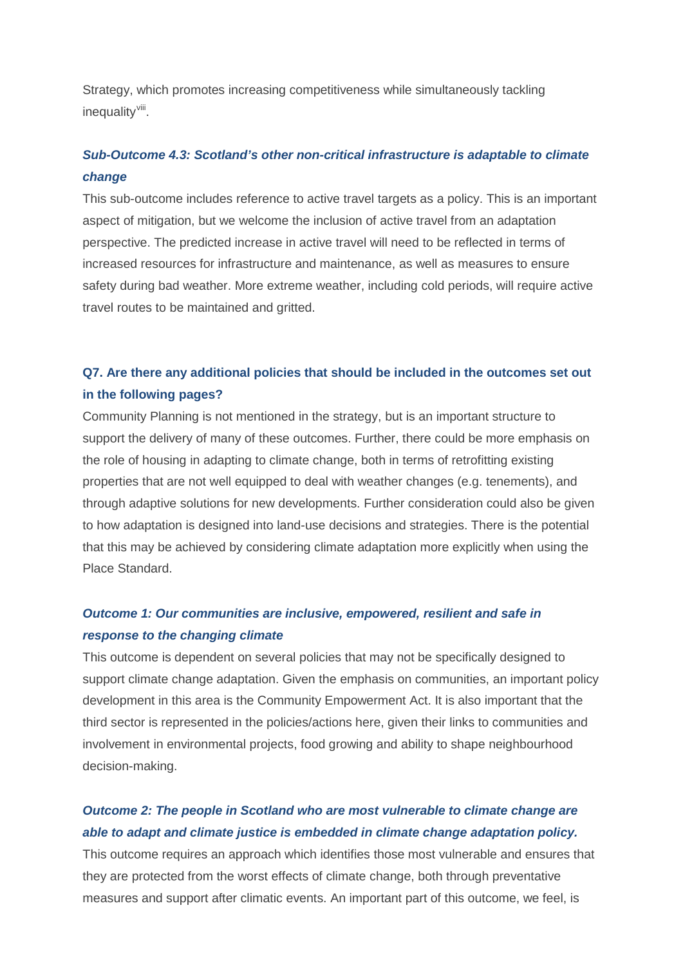Strategy, which promotes increasing competitiveness while simultaneously tackling inequality<sup>[viii](#page-7-7)</sup>.

### *Sub-Outcome 4.3: Scotland's other non-critical infrastructure is adaptable to climate change*

This sub-outcome includes reference to active travel targets as a policy. This is an important aspect of mitigation, but we welcome the inclusion of active travel from an adaptation perspective. The predicted increase in active travel will need to be reflected in terms of increased resources for infrastructure and maintenance, as well as measures to ensure safety during bad weather. More extreme weather, including cold periods, will require active travel routes to be maintained and gritted.

## **Q7. Are there any additional policies that should be included in the outcomes set out in the following pages?**

Community Planning is not mentioned in the strategy, but is an important structure to support the delivery of many of these outcomes. Further, there could be more emphasis on the role of housing in adapting to climate change, both in terms of retrofitting existing properties that are not well equipped to deal with weather changes (e.g. tenements), and through adaptive solutions for new developments. Further consideration could also be given to how adaptation is designed into land-use decisions and strategies. There is the potential that this may be achieved by considering climate adaptation more explicitly when using the Place Standard.

# *Outcome 1: Our communities are inclusive, empowered, resilient and safe in response to the changing climate*

This outcome is dependent on several policies that may not be specifically designed to support climate change adaptation. Given the emphasis on communities, an important policy development in this area is the Community Empowerment Act. It is also important that the third sector is represented in the policies/actions here, given their links to communities and involvement in environmental projects, food growing and ability to shape neighbourhood decision-making.

# *Outcome 2: The people in Scotland who are most vulnerable to climate change are able to adapt and climate justice is embedded in climate change adaptation policy.*

This outcome requires an approach which identifies those most vulnerable and ensures that they are protected from the worst effects of climate change, both through preventative measures and support after climatic events. An important part of this outcome, we feel, is